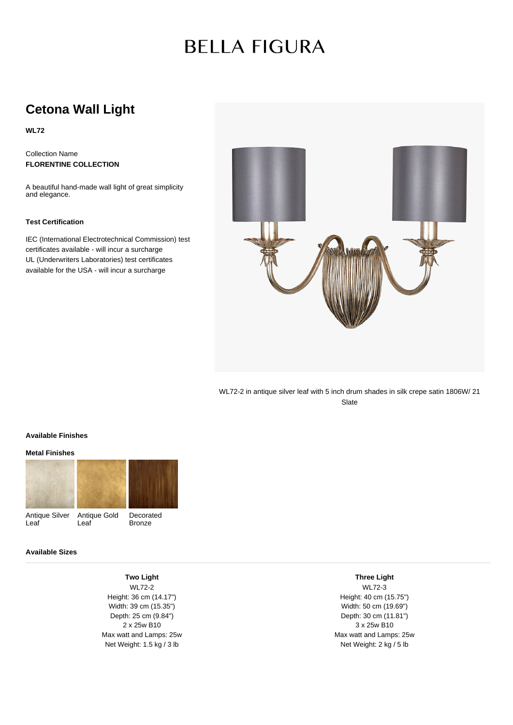# **BELLA FIGURA**

## **Cetona Wall Light**

**WL72**

Collection Name **FLORENTINE COLLECTION**

A beautiful hand-made wall light of great simplicity and elegance.

### **Test Certification**

IEC (International Electrotechnical Commission) test certificates available - will incur a surcharge UL (Underwriters Laboratories) test certificates available for the USA - will incur a surcharge



WL72-2 in antique silver leaf with 5 inch drum shades in silk crepe satin 1806W/ 21 Slate

#### **Available Finishes**

#### **Metal Finishes**



### **Available Sizes**

**Two Light** WL72-2 Height: 36 cm (14.17") Width: 39 cm (15.35") Depth: 25 cm (9.84") 2 x 25w B10 Max watt and Lamps: 25w Net Weight: 1.5 kg / 3 lb

**Three Light**

WL72-3 Height: 40 cm (15.75") Width: 50 cm (19.69") Depth: 30 cm (11.81") 3 x 25w B10 Max watt and Lamps: 25w Net Weight: 2 kg / 5 lb